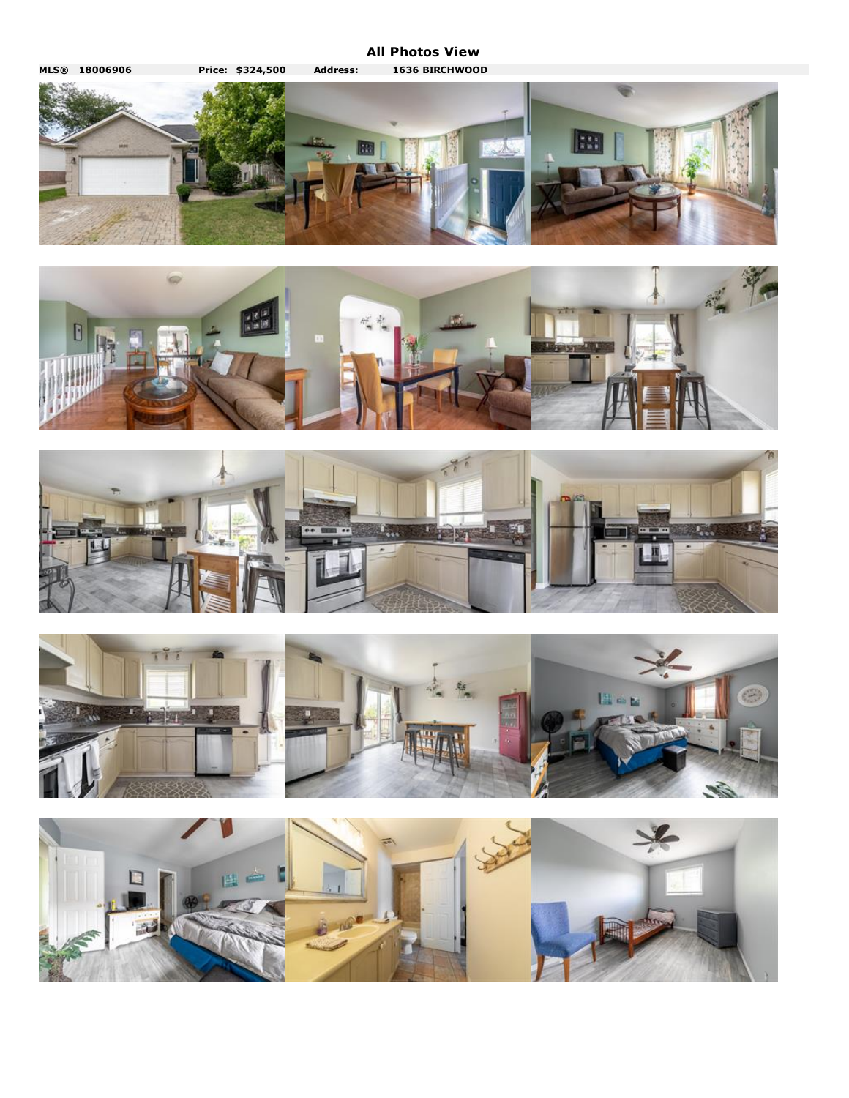## **All Photos View**









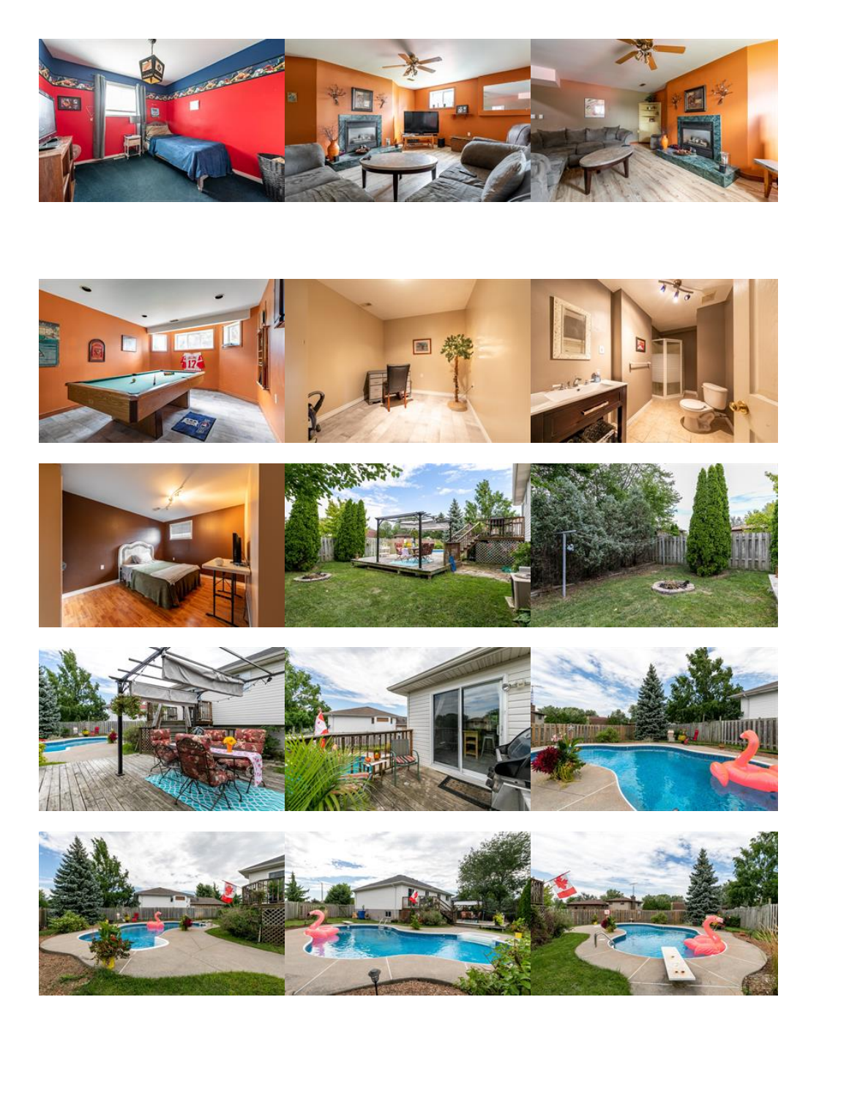